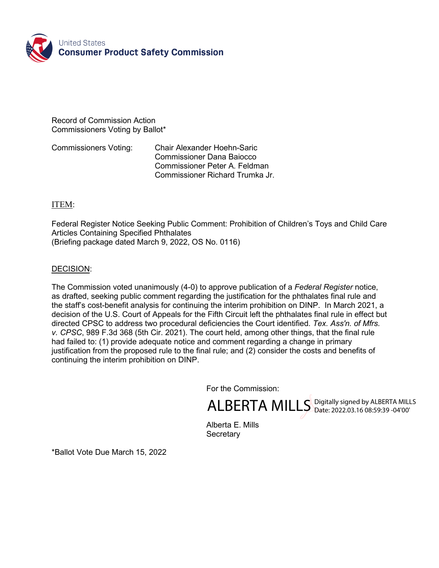

Record of Commission Action Commissioners Voting by Ballot\*

Commissioners Voting: Chair Alexander Hoehn-Saric Commissioner Dana Baiocco Commissioner Peter A. Feldman Commissioner Richard Trumka Jr.

## ITEM:

Federal Register Notice Seeking Public Comment: Prohibition of Children's Toys and Child Care Articles Containing Specified Phthalates (Briefing package dated March 9, 2022, OS No. 0116)

## DECISION:

The Commission voted unanimously (4-0) to approve publication of a *Federal Register* notice, as drafted, seeking public comment regarding the justification for the phthalates final rule and the staff's cost-benefit analysis for continuing the interim prohibition on DINP. In March 2021, a decision of the U.S. Court of Appeals for the Fifth Circuit left the phthalates final rule in effect but directed CPSC to address two procedural deficiencies the Court identified. *Tex. Ass'n. of Mfrs. v. CPSC*, 989 F.3d 368 (5th Cir. 2021). The court held, among other things, that the final rule had failed to: (1) provide adequate notice and comment regarding a change in primary justification from the proposed rule to the final rule; and (2) consider the costs and benefits of continuing the interim prohibition on DINP.

For the Commission:

ALBERTA MILLS Digitally signed by ALBERTA MILLS

Alberta E. Mills **Secretary** 

\*Ballot Vote Due March 15, 2022